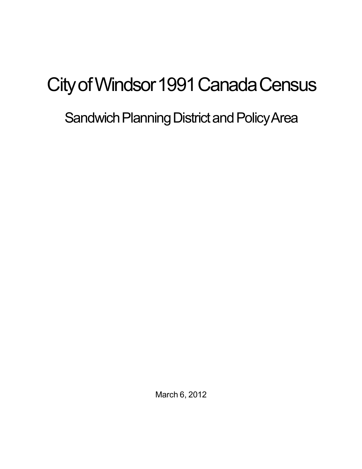# City of Windsor 1991 Canada Census

## Sandwich Planning District and Policy Area

March 6, 2012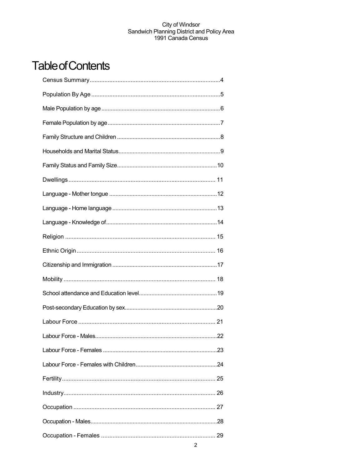## **Table of Contents**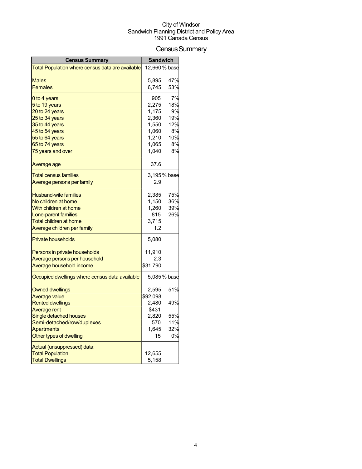## Census Summary

| <b>Census Summary</b>                            |          | <b>Sandwich</b> |
|--------------------------------------------------|----------|-----------------|
| Total Population where census data are available |          | 12,660 % base   |
|                                                  |          |                 |
| Males                                            | 5,895    | 47%             |
| <b>Females</b>                                   | 6,745    | 53%             |
| 0 to 4 years                                     | 905      | 7%              |
| 5 to 19 years                                    | 2,275    | 18%             |
| 20 to 24 years                                   | 1,175    | 9%              |
| 25 to 34 years                                   | 2,360    | 19%             |
| 35 to 44 years                                   | 1,550    | 12%             |
| 45 to 54 years                                   | 1,060    | 8%              |
| 55 to 64 years                                   | 1,210    | 10%             |
| 65 to 74 years                                   | 1,065    | 8%              |
| 75 years and over                                | 1,040    | 8%              |
| Average age                                      | 37.6     |                 |
| Total census families                            |          | 3,195 % base    |
| <u>Average persons per family</u>                | 2.9      |                 |
| <b>Husband-wife families</b>                     | 2,385    | 75%             |
| No children at home                              | 1,150    | 36%             |
| With children at home                            | 1,260    | 39%             |
| Lone-parent families                             | 815      | 26%             |
| Total children at home                           | 3,715    |                 |
| Average children per family                      | 1.2      |                 |
| <b>Private households</b>                        | 5,080    |                 |
| Persons in private households                    | 11,910   |                 |
| Average persons per household                    | 2.3      |                 |
| Average household income                         | \$31,790 |                 |
| Occupied dwellings where census data available   |          | 5,085% base     |
| <b>Owned dwellings</b>                           | 2,595    | 51%             |
| Average value                                    | \$92,098 |                 |
| <b>Rented dwellings</b>                          | 2,480    | 49%             |
| <b>Average rent</b>                              | \$431    |                 |
| Single detached houses                           | 2,820    | 55%             |
| Semi-detached/row/duplexes                       | 570      | 11%             |
| <b>Apartments</b>                                | 1,645    | 32%             |
| Other types of dwelling                          | 15       | 0%              |
| Actual (unsuppressed) data:                      |          |                 |
| <b>Total Population</b>                          | 12,655   |                 |
| <b>Total Dwellings</b>                           | 5,158    |                 |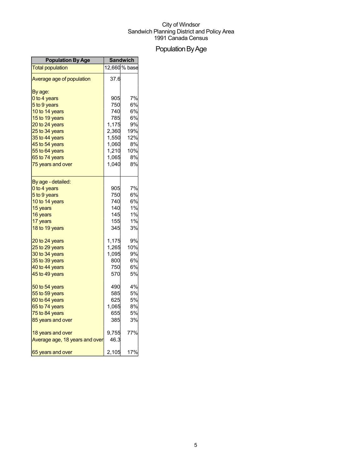## Population By Age

| <b>Population By Age</b>       | <b>Sandwich</b> |               |
|--------------------------------|-----------------|---------------|
| <b>Total population</b>        |                 | 12,660 % base |
| Average age of population      | 37.6            |               |
| By age:                        |                 |               |
| 0 to 4 years                   | 905             | 7%            |
| 5 to 9 years                   | 750             | 6%            |
| 10 to 14 years                 | 740             | 6%            |
| 15 to 19 years                 | 785             | 6%            |
| 20 to 24 years                 | 1,175           | 9%            |
| 25 to 34 years                 | 2,360           | 19%           |
| 35 to 44 years                 | 1,550           | 12%           |
| 45 to 54 years                 | 1,060           | 8%            |
| 55 to 64 years                 | 1,210           | 10%           |
| 65 to 74 years                 | 1,065           | 8%            |
| 75 years and over              | 1,040           | 8%            |
| By age - detailed:             |                 |               |
| 0 to 4 years                   | 905             | 7%            |
| 5 to 9 years                   | 750             | 6%            |
| 10 to 14 years                 | 740             | 6%            |
| 15 years                       | 140             | 1%            |
| 16 years                       | 145             | 1%            |
| 17 years                       | 155             | 1%            |
| 18 to 19 years                 | 345             | 3%            |
| 20 to 24 years                 | 1,175           | 9%            |
| 25 to 29 years                 | 1,265           | 10%           |
| 30 to 34 years                 | 1,095           | 9%            |
| 35 to 39 years                 | 800             | 6%            |
| 40 to 44 years                 | 750             | 6%            |
| 45 to 49 years                 | 570             | 5%            |
| 50 to 54 years                 | 490             | 4%            |
| 55 to 59 years                 | 585             | 5%            |
| 60 to 64 years                 | 625             | <b>5%</b>     |
| 65 to 74 years                 | 1,065           | 8%            |
| 75 to 84 years                 | 655             | <b>5%</b>     |
| 85 years and over              | 385I            | 3%            |
| 18 years and over              | 9,755           | 77%           |
| Average age, 18 years and over | 46.3            |               |
| 65 years and over              | 2,105           | 17%           |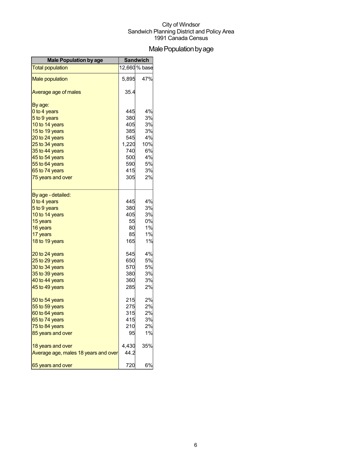## Male Population by age

| <b>Male Population by age</b>        |       | <b>Sandwich</b> |
|--------------------------------------|-------|-----------------|
| <b>Total population</b>              |       | 12,660 % base   |
| <b>Male population</b>               | 5,895 | 47%             |
| Average age of males                 | 35.4  |                 |
| By age:                              |       |                 |
| 0 to 4 years                         | 445   | 4%              |
| 5 to 9 years                         | 380   | 3%              |
| 10 to 14 years                       | 405   | 3%              |
| 15 to 19 years                       | 385   | 3%              |
| 20 to 24 years                       | 545   | 4%              |
| 25 to 34 years                       | 1,220 | 10%             |
| 35 to 44 years                       | 740   | 6%              |
| 45 to 54 years                       | 500   | 4%              |
| 55 to 64 years                       | 590   | 5%              |
| 65 to 74 years                       | 415   | 3%              |
| 75 years and over                    | 305   | 2%              |
| By age - detailed:                   |       |                 |
| 0 to 4 years                         | 445   | 4%              |
| 5 to 9 years                         | 380   | 3%              |
| 10 to 14 years                       | 405   | 3%              |
| 15 years                             | 55    | 0%              |
| 16 years                             | 80    | 1%              |
| 17 years                             | 85    | 1%              |
| 18 to 19 years                       | 165   | 1%              |
| 20 to 24 years                       | 545   | 4%              |
| 25 to 29 years                       | 650   | 5%              |
| 30 to 34 years                       | 570   | 5%              |
| 35 to 39 years                       | 380   | 3%              |
| 40 to 44 years                       | 360   | 3%              |
| 45 to 49 years                       | 285   | 2%              |
| 50 to 54 years                       | 215   | 2%              |
| 55 to 59 years                       | 275   | 2%              |
| 60 to 64 years                       | 315   | 2%              |
| 65 to 74 years                       | 415   | 3%              |
| 75 to 84 years                       | 210   | 2%              |
| 85 years and over                    | 95    | 1%              |
| 18 years and over                    | 4,430 | 35%             |
| Average age, males 18 years and over | 44.2  |                 |
| 65 years and over                    | 720   | 6%              |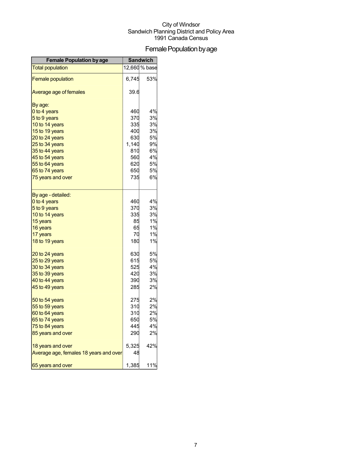## Female Population by age

| <b>Female Population by age</b>        | <b>Sandwich</b> |               |
|----------------------------------------|-----------------|---------------|
| <b>Total population</b>                |                 | 12,660 % base |
| <b>Female population</b>               | 6,745           | 53%           |
| Average age of females                 | 39.6            |               |
| By age:                                |                 |               |
| 0 to 4 years                           | 460             | 4%            |
| 5 to 9 years                           | 370             | 3%            |
| 10 to 14 years                         | 335             | 3%            |
| 15 to 19 years                         | 400             | 3%            |
| 20 to 24 years                         | 630             | 5%            |
| 25 to 34 years                         | 1,140           | 9%            |
| 35 to 44 years                         | 810             | 6%            |
| 45 to 54 years                         | 560             | 4%            |
| 55 to 64 years                         | 620             | 5%            |
| 65 to 74 years                         | 650             | 5%            |
| 75 years and over                      | 735             | 6%            |
| By age - detailed:                     |                 |               |
| 0 to 4 years                           | 460             | 4%            |
| 5 to 9 years                           | 370             | 3%            |
| 10 to 14 years                         | 335             | 3%            |
| 15 years                               | 85              | 1%            |
| 16 years                               | 65              | 1%            |
| 17 years                               | 70              | 1%            |
| 18 to 19 years                         | 180             | 1%            |
| 20 to 24 years                         | 630             | 5%            |
| 25 to 29 years                         | 615             | 5%            |
| 30 to 34 years                         | 525             | 4%            |
| 35 to 39 years                         | 420             | 3%            |
| 40 to 44 years                         | 390             | 3%            |
| 45 to 49 years                         | 285             | 2%            |
| 50 to 54 years                         | 275             | 2%            |
| 55 to 59 years                         | 310             | 2%            |
| 60 to 64 years                         | 310             | 2%            |
| 65 to 74 years                         | 650             | 5%            |
| 75 to 84 years                         | 445             | 4%            |
| 85 years and over                      | 290             | 2%            |
| 18 years and over                      | 5,325           | 42%           |
| Average age, females 18 years and over | 48              |               |
| 65 years and over                      | 1,385           | 11%           |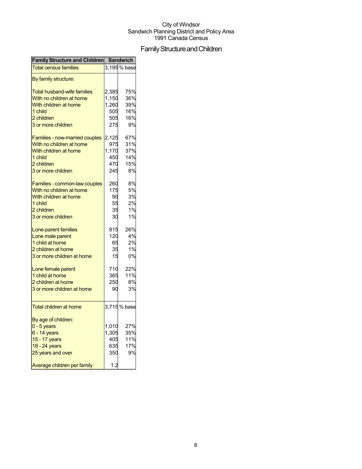## Family Structure and Children

| Family Structure and Children Sandwich                    |       |              |
|-----------------------------------------------------------|-------|--------------|
| <b>Total census families</b>                              |       | 3,195 % base |
| By family structure:                                      |       |              |
| <b>Total husband-wife families</b>                        | 2,385 | 75%          |
| With no children at home                                  | 1,150 | 36%          |
| With children at home                                     | 1,260 | 39%          |
| 1 child                                                   | 505   | 16%          |
| 2 children                                                | 505   | 16%          |
| 3 or more children                                        | 275   | 9%           |
|                                                           |       |              |
| Families - now-married couples                            | 2,125 | 67%          |
| With no children at home                                  | 975   | 31%          |
| With children at home                                     | 1,170 | 37%          |
| 1 child                                                   | 450   | 14%          |
| 2 children                                                | 470   | 15%          |
| 3 or more children                                        | 245   | 8%           |
|                                                           | 260   | 8%           |
| Families - common-law couples<br>With no children at home | 175   | 5%           |
|                                                           |       |              |
| With children at home                                     | 90    | 3%           |
| 1 child                                                   | 55    | 2%           |
| 2 children                                                | 35    | 1%           |
| 3 or more children                                        | 30    | 1%           |
| Lone-parent families                                      | 815   | 26%          |
| Lone male parent                                          | 120   | 4%           |
| 1 child at home                                           | 65    | 2%           |
| 2 children at home                                        | 35    | 1%           |
| 3 or more children at home                                | 15    | 0%           |
| Lone female parent                                        | 710   | 22%          |
| 1 child at home                                           | 365   | 11%          |
| 2 children at home                                        | 250   | 8%           |
| 3 or more children at home                                | 90    | 3%           |
|                                                           |       |              |
| <b>Total children at home</b>                             |       | 3,715 % base |
|                                                           |       |              |
| By age of children:                                       | 1,010 | 27%          |
| $0 - 5$ years                                             |       | 35%          |
| $6 - 14$ years                                            | 1,305 |              |
| 15 - 17 years                                             | 405   | 11%          |
| 18 - 24 years                                             | 635   | 17%          |
| 25 years and over                                         | 350   | 9%           |
| Average children per family                               | 1.2   |              |
|                                                           |       |              |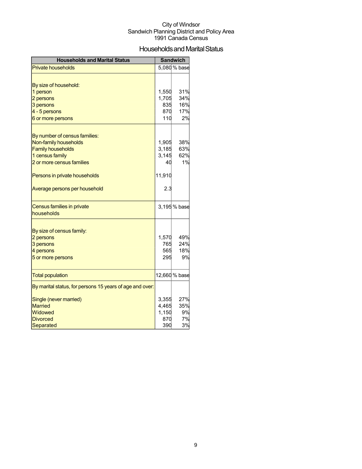## Households and Marital Status

| <b>Households and Marital Status</b>                     |             | <b>Sandwich</b> |
|----------------------------------------------------------|-------------|-----------------|
| <b>Private households</b>                                |             | 5,080 % base    |
|                                                          |             |                 |
| By size of household:                                    |             |                 |
| 1 person                                                 | 1,550       | 31%             |
| 2 persons                                                | 1,705       | 34%             |
| 3 persons                                                | 835         | 16%             |
| 4 - 5 persons                                            | 870         | 17%             |
| 6 or more persons                                        | 110         | 2%              |
|                                                          |             |                 |
| By number of census families:                            |             |                 |
| Non-family households                                    | 1,905       | 38%             |
| <b>Family households</b>                                 | 3,185       | 63%             |
| 1 census family<br>2 or more census families             | 3,145<br>40 | 62%<br>1%       |
|                                                          |             |                 |
| Persons in private households                            | 11,910      |                 |
| Average persons per household                            | 2.3         |                 |
| Census families in private                               |             | 3,195 % base    |
| households                                               |             |                 |
|                                                          |             |                 |
| By size of census family:                                |             |                 |
| 2 persons                                                | 1,570       | 49%<br>24%      |
| 3 persons<br>4 persons                                   | 765<br>565  | 18%             |
| 5 or more persons                                        | 295         | 9%              |
|                                                          |             |                 |
| <b>Total population</b>                                  |             | 12,660 % base   |
| By marital status, for persons 15 years of age and over: |             |                 |
| Single (never married)                                   | 3,355       | 27%             |
| <b>Married</b>                                           | 4,465       | 35%             |
| Widowed                                                  | 1,150       | 9%              |
| <b>Divorced</b>                                          | 870         | 7%              |
| Separated                                                | 390         | 3%              |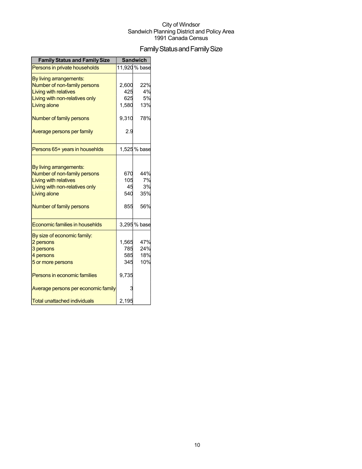## Family Status and Family Size

| <b>Family Status and Family Size</b> |           | <b>Sandwich</b> |
|--------------------------------------|-----------|-----------------|
| Persons in private households        |           | 11,920 % base   |
| By living arrangements:              |           |                 |
| Number of non-family persons         | 2,600     | 22%             |
| <b>Living with relatives</b>         | 425       | 4%              |
| Living with non-relatives only       | 625       | 5%              |
| Living alone                         | 1,580     | 13%             |
| Number of family persons             | 9,310     | 78%             |
| Average persons per family           | 2.9       |                 |
| Persons 65+ years in househlds       |           | 1,525 % base    |
|                                      |           |                 |
| By living arrangements:              |           |                 |
| Number of non-family persons         | 670       | 44%             |
| <b>Living with relatives</b>         | 105<br>45 | 7%<br>3%        |
| Living with non-relatives only       | 540       | 35%             |
| Living alone                         |           |                 |
| Number of family persons             | 855       | 56%             |
| Economic families in househlds       |           | 3,295 % base    |
| By size of economic family:          |           |                 |
| 2 persons                            | 1,565     | 47%             |
| 3 persons                            | 785       | 24%             |
| 4 persons                            | 585       | 18%             |
| 5 or more persons                    | 345       | 10%             |
| Persons in economic families         | 9,735     |                 |
| Average persons per economic family  | 3         |                 |
| <b>Total unattached individuals</b>  | 2,195     |                 |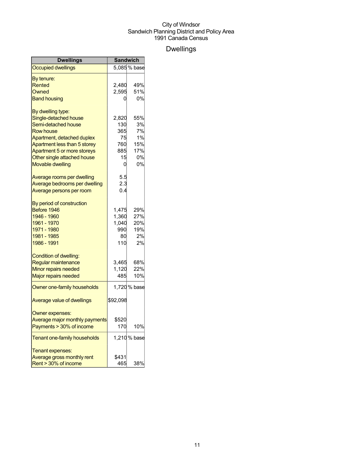## Dwellings

| Dwellings                         | <b>Sandwich</b> |              |
|-----------------------------------|-----------------|--------------|
| <b>Occupied dwellings</b>         |                 | 5,085 % base |
| By tenure:                        |                 |              |
| Rented                            | 2,480           | 49%          |
| Owned                             | 2,595           | 51%          |
| <b>Band housing</b>               | 0               | 0%           |
| By dwelling type:                 |                 |              |
| Single-detached house             | 2,820           | 55%          |
| Semi-detached house               | 130             | 3%           |
| <b>Row house</b>                  | 365             | 7%           |
| Apartment, detached duplex        | 75              | 1%           |
| Apartment less than 5 storey      | 760             | 15%          |
| Apartment 5 or more storeys       | 885             | 17%          |
| Other single attached house       | 15              | 0%           |
| <b>Movable dwelling</b>           | 0               | 0%           |
| Average rooms per dwelling        | 5.5             |              |
| Average bedrooms per dwelling     | 2.3             |              |
| Average persons per room          | 0.4             |              |
| By period of construction         |                 |              |
| Before 1946                       | 1.475           | 29%          |
| 1946 - 1960                       | 1,360           | 27%          |
| 1961 - 1970                       | 1,040           | 20%          |
| 1971 - 1980                       | 990             | 19%          |
| 1981 - 1985                       | 80              | 2%           |
| 1986 - 1991                       | 110             | 2%           |
| Condition of dwelling:            |                 |              |
| Regular maintenance               | 3,465           | 68%          |
| Minor repairs needed              | 1,120           | 22%          |
| <b>Major repairs needed</b>       | 485             | 10%          |
| Owner one-family households       |                 | 1,720 % base |
| <b>Average value of dwellings</b> | \$92,098        |              |
| Owner expenses:                   |                 |              |
| Average major monthly payments    | \$520           |              |
| Payments > 30% of income          | 170             | 10%          |
| Tenant one-family households      |                 | 1,210 % base |
| Tenant expenses:                  |                 |              |
| Average gross monthly rent        | \$431           |              |
| Rent > 30% of income              | 465             | 38%          |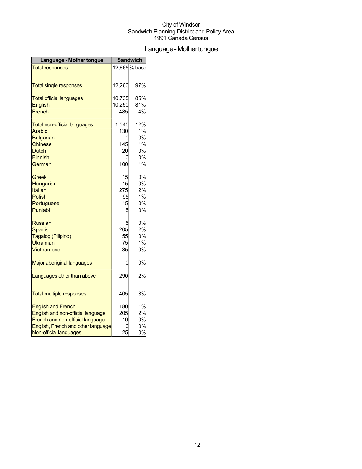## Language-Mothertongue

| Language - Mother tongue            | <b>Sandwich</b> |               |
|-------------------------------------|-----------------|---------------|
| <b>Total responses</b>              |                 | 12,665 % base |
|                                     |                 |               |
| <b>Total single responses</b>       | 12,260          | 97%           |
| <b>Total official languages</b>     | 10,735          | 85%           |
| <b>English</b>                      | 10,250          | 81%           |
| French                              | 485             | 4%            |
| <b>Total non-official languages</b> | 1,545           | 12%           |
| Arabic                              | 130             | 1%            |
| <b>Bulgarian</b>                    | 0               | 0%            |
| <b>Chinese</b>                      | 145             | 1%            |
| <b>Dutch</b>                        | 20              | 0%            |
| <b>Finnish</b>                      | 0               | 0%            |
| German                              | 100             | 1%            |
| Greek                               | 15              | 0%            |
| Hungarian                           | 15              | 0%            |
| Italian                             | 275             | 2%            |
| <b>Polish</b>                       | 95              | 1%            |
| Portuguese                          | 15              | 0%            |
| Punjabi                             | 5               | 0%            |
| <b>Russian</b>                      | 5               | 0%            |
| <b>Spanish</b>                      | 205             | 2%            |
| Tagalog (Pilipino)                  | 55              | 0%            |
| <b>Ukrainian</b>                    | 75              | 1%            |
| Vietnamese                          | 35              | 0%            |
| Major aboriginal languages          | 0               | 0%            |
| Languages other than above          | 290             | 2%            |
|                                     |                 | 3%            |
| <b>Total multiple responses</b>     | 405             |               |
| <b>English and French</b>           | 180             | 1%            |
| English and non-official language   | 205             | 2%            |
| French and non-official language    | 10              | 0%            |
| English, French and other language  | 0               | 0%            |
| Non-official languages              | 25              | 0%            |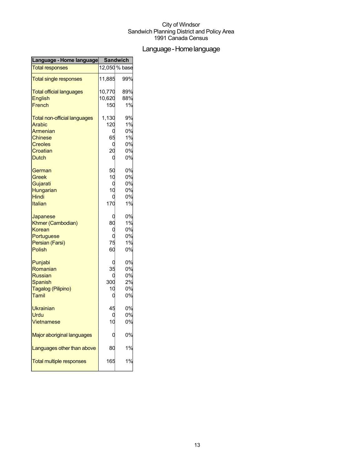## Language-Homelanguage

| Language - Home language            | <b>Sandwich</b> |               |
|-------------------------------------|-----------------|---------------|
| <b>Total responses</b>              |                 | 12,050 % base |
| <b>Total single responses</b>       | 11,885          | 99%           |
| <b>Total official languages</b>     | 10,770          | 89%           |
| <b>English</b>                      | 10,620          | 88%           |
| French                              | 150             | 1%            |
| <b>Total non-official languages</b> | 1,130           | 9%            |
| <b>Arabic</b>                       | 120             | 1%            |
| Armenian                            | C               | 0%            |
| <b>Chinese</b>                      | 65              | 1%            |
| <b>Creoles</b>                      | C               | 0%            |
| Croatian                            | 20              | 0%            |
| <b>Dutch</b>                        | С               | 0%            |
| German                              | 50              | 0%            |
| <b>Greek</b>                        | 10              | 0%            |
| Gujarati                            | 0               | 0%            |
| Hungarian                           | 10              | 0%            |
| Hindi                               | C               | 0%            |
| Italian                             | 170             | 1%            |
| Japanese                            | C               | 0%            |
| Khmer (Cambodian)                   | 80              | 1%            |
| Korean                              | C               | 0%            |
| Portuguese                          |                 | 0%            |
| Persian (Farsi)                     | 75              | 1%            |
| Polish                              | 60              | 0%            |
| Punjabi                             | C               | 0%            |
| Romanian                            | 35              | 0%            |
| <b>Russian</b>                      |                 | 0%            |
| <b>Spanish</b>                      | 300             | 2%            |
| Tagalog (Pilipino)                  | 10              | 0%            |
| Tamil                               | 0               | 0%            |
| <b>Ukrainian</b>                    | 45              | 0%            |
| Urdu                                |                 | 0%            |
| Vietnamese                          | 10              | 0%            |
| Major aboriginal languages          |                 | 0%            |
| Languages other than above          | 80              | 1%            |
| Total multiple responses            | 165             | 1%            |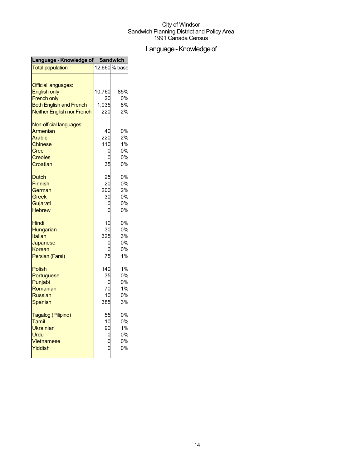## Language - Knowledge of

| Language - Knowledge of           | <b>Sandwich</b> |               |
|-----------------------------------|-----------------|---------------|
| <b>Total population</b>           |                 | 12,660 % base |
|                                   |                 |               |
| <b>Official languages:</b>        |                 |               |
| <b>English only</b>               | 10,760          | 85%           |
| <b>French only</b>                | 20              | 0%            |
| <b>Both English and French</b>    | 1,035           | 8%            |
| <b>Neither English nor French</b> | 220             | 2%            |
| Non-official languages:           |                 |               |
| Armenian                          | 40              | 0%            |
| Arabic                            | 220             | 2%            |
| <b>Chinese</b>                    | 110             | 1%            |
| Cree                              | 0               | 0%            |
| <b>Creoles</b>                    |                 | 0%            |
| Croatian                          | 35              | 0%            |
| <b>Dutch</b>                      | 25              | 0%            |
| <b>Finnish</b>                    | 20              | 0%            |
| German                            | 200             | 2%            |
| Greek                             | 30              | 0%            |
| Gujarati                          |                 | 0%            |
| <b>Hebrew</b>                     | C               | 0%            |
| Hindi                             | 10              | 0%            |
| Hungarian                         | 30              | 0%            |
| Italian                           | 325             | 3%            |
| Japanese                          | C               | 0%            |
| <b>Korean</b>                     |                 | 0%            |
| Persian (Farsi)                   | 75              | 1%            |
| Polish                            | 140             | 1%            |
| Portuguese                        | 35              | 0%            |
| Punjabi                           | C               | 0%            |
| Romanian                          | 70              | 1%            |
| <b>Russian</b>                    | 10              | 0%            |
| Spanish                           | 385             | 3%            |
| Tagalog (Pilipino)                | 55              | 0%            |
| Tamil                             | 10              | 0%            |
| Ukrainian                         | 90              | 1%            |
| Urdu                              | 0               | 0%            |
| Vietnamese                        | C               | 0%            |
| Yiddish                           |                 | 0%            |
|                                   |                 |               |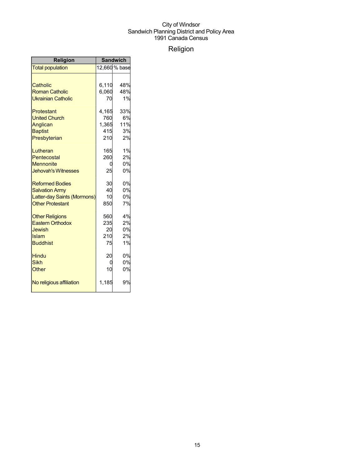## Religion

| <b>Religion</b>             | <b>Sandwich</b> |               |
|-----------------------------|-----------------|---------------|
| <b>Total population</b>     |                 | 12,660 % base |
|                             |                 |               |
| Catholic                    | 6,110           | 48%           |
| <b>Roman Catholic</b>       | 6,060           | 48%           |
| <b>Ukrainian Catholic</b>   | 70              | 1%            |
| Protestant                  | 4,165           | 33%           |
| <b>United Church</b>        | 760             | 6%            |
| Anglican                    | 1,365           | 11%           |
| <b>Baptist</b>              | 415             | 3%            |
| Presbyterian                | 210             | 2%            |
| Lutheran                    | 165             | 1%            |
| Pentecostal                 | 260             | 2%            |
| <b>Mennonite</b>            | O               | 0%            |
| <b>Jehovah's Witnesses</b>  | 25              | 0%            |
| <b>Reformed Bodies</b>      | 30              | 0%            |
| <b>Salvation Army</b>       | 40              | 0%            |
| Latter-day Saints (Mormons) | 10              | 0%            |
| <b>Other Protestant</b>     | 850             | 7%            |
| <b>Other Religions</b>      | 560             | 4%            |
| <b>Eastern Orthodox</b>     | 235             | 2%            |
| Jewish                      | 20              | 0%            |
| Islam                       | 210             | 2%            |
| <b>Buddhist</b>             | 75              | 1%            |
| <b>Hindu</b>                | 20              | 0%            |
| <b>Sikh</b>                 |                 | 0%            |
| Other                       | 10              | 0%            |
| No religious affiliation    | 1,185           | 9%            |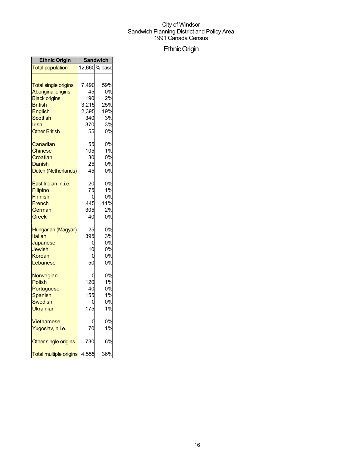## EthnicOrigin

| <b>Ethnic Origin</b>          | <b>Sandwich</b> |               |
|-------------------------------|-----------------|---------------|
| <b>Total population</b>       |                 | 12,660 % base |
|                               |                 |               |
| <b>Total single origins</b>   | 7,490           | 59%           |
| <b>Aboriginal origins</b>     | 45              | 0%            |
| <b>Black origins</b>          | 190             | 2%            |
| <b>British</b>                | 3,215           | 25%           |
| English                       | 2,395           | 19%           |
| Scottish                      | 340             | 3%            |
| Irish                         | 370             | 3%            |
| <b>Other British</b>          | 55              | 0%            |
| Canadian                      | 55              | 0%            |
| Chinese                       | 105             | 1%            |
| Croatian                      | 30              | 0%            |
| Danish                        | 25              | 0%            |
| Dutch (Netherlands)           | 45              | 0%            |
| East Indian, n.i.e.           | 20              | 0%            |
| Filipino                      | 75              | 1%            |
| <b>Finnish</b>                | C               | 0%            |
| French                        | 1,445           | 11%           |
| German                        | 305             | 2%            |
| Greek                         | 40              | 0%            |
| Hungarian (Magyar)            | 25              | 0%            |
| Italian                       | 395             | 3%            |
| Japanese                      | C               | 0%            |
| Jewish                        | 10              | 0%            |
| Korean                        | C               | 0%            |
| Lebanese                      | 50              | 0%            |
| Norwegian                     | C               | 0%            |
| Polish                        | 120             | 1%            |
| Portuguese                    | 40              | 0%            |
| Spanish                       | 155             | 1%            |
| Swedish                       | ſ               | 0%            |
| Ukrainian                     | 175             | 1%            |
| Vietnamese                    | ſ               | 0%            |
| Yugoslav, n.i.e.              | 70              | 1%            |
| Other single origins          | 730             | 6%            |
| <b>Total multiple origins</b> | 4,555           | 36%           |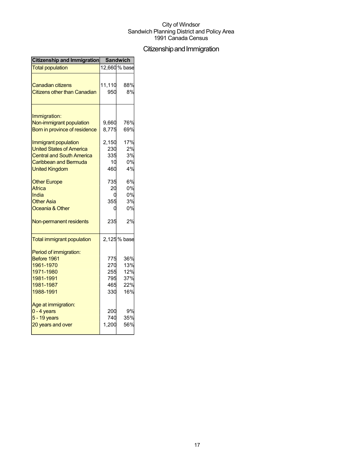## Citizenship and Immigration

| Citizenship and Immigration              | <b>Sandwich</b> |               |
|------------------------------------------|-----------------|---------------|
| <b>Total population</b>                  |                 | 12,660 % base |
|                                          |                 |               |
| Canadian citizens                        | 11,110          | 88%           |
| <b>Citizens other than Canadian</b>      | 950             | 8%            |
|                                          |                 |               |
| Immigration:<br>Non-immigrant population | 9,660           | 76%           |
| Born in province of residence            | 8,775           | 69%           |
|                                          |                 |               |
| Immigrant population                     | 2,150           | 17%           |
| <b>United States of America</b>          | 230             | 2%            |
| <b>Central and South America</b>         | 335             | 3%            |
| Caribbean and Bermuda                    | 10              | 0%            |
| <b>United Kingdom</b>                    | 460             | 4%            |
| <b>Other Europe</b>                      | 735             | 6%            |
| Africa                                   | 20              | 0%            |
| India                                    |                 | 0%            |
| <b>Other Asia</b>                        | 355             | 3%            |
| Oceania & Other                          |                 | 0%            |
| Non-permanent residents                  | 235             | 2%            |
| <b>Total immigrant population</b>        |                 | 2,125 % base  |
| Period of immigration:                   |                 |               |
| Before 1961                              | 775             | 36%           |
| 1961-1970                                | 270             | 13%           |
| 1971-1980                                | 255             | 12%           |
| 1981-1991                                | 795             | 37%           |
| 1981-1987                                | 465             | 22%           |
| 1988-1991                                | 330             | 16%           |
| Age at immigration:                      |                 |               |
| $0 - 4$ years                            | 200             | 9%            |
| 5 - 19 years                             | 740             | 35%           |
| 20 years and over                        | 1,200           | 56%           |
|                                          |                 |               |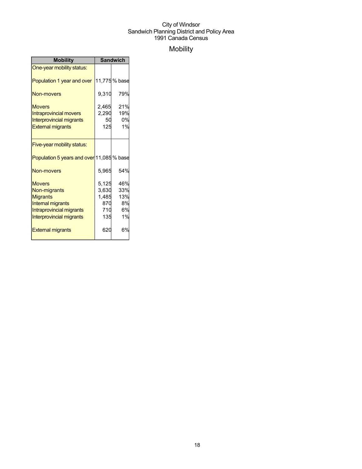## Mobility

| <b>Mobility</b>                           | <b>Sandwich</b> |              |
|-------------------------------------------|-----------------|--------------|
| One-year mobility status:                 |                 |              |
| Population 1 year and over                |                 | 11,775% base |
| Non-movers                                | 9,310           | 79%          |
| <b>Movers</b>                             | 2,465           | 21%          |
| <b>Intraprovincial movers</b>             | 2,290           | 19%          |
| <b>Interprovincial migrants</b>           | 50              | 0%           |
| <b>External migrants</b>                  | 125             | 1%           |
|                                           |                 |              |
| Five-year mobility status:                |                 |              |
| Population 5 years and over 11,085 % base |                 |              |
| Non-movers                                | 5,965           | 54%          |
| <b>Movers</b>                             | 5,125           | 46%          |
| Non-migrants                              | 3,630           | 33%          |
| <b>Migrants</b>                           | 1,485           | 13%          |
| <b>Internal migrants</b>                  | 870             | 8%           |
| Intraprovincial migrants                  | 710             | 6%           |
| Interprovincial migrants                  | 135             | 1%           |
| <b>External migrants</b>                  | 620             | 6%           |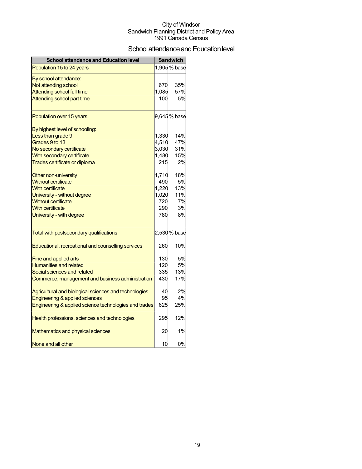## School attendance and Education level

| <b>School attendance and Education level</b>          |       | <b>Sandwich</b> |
|-------------------------------------------------------|-------|-----------------|
| Population 15 to 24 years                             |       | 1,905 % base    |
| By school attendance:                                 |       |                 |
| Not attending school                                  | 670   | 35%             |
| Attending school full time                            | 1,085 | 57%             |
| Attending school part time                            | 100   | 5%              |
| Population over 15 years                              |       | 9,645% base     |
| By highest level of schooling:                        |       |                 |
| Less than grade 9                                     | 1,330 | 14%             |
| Grades 9 to 13                                        | 4,510 | 47%             |
| No secondary certificate                              | 3,030 | 31%             |
| With secondary certificate                            | 1,480 | 15%             |
| Trades certificate or diploma                         | 215   | 2%              |
| Other non-university                                  | 1,710 | 18%             |
| <b>Without certificate</b>                            | 490   | 5%              |
| With certificate                                      | 1,220 | 13%             |
| University - without degree                           | 1,020 | 11%             |
| <b>Without certificate</b>                            | 720   | 7%              |
| <b>With certificate</b>                               | 290   | 3%              |
| University - with degree                              | 780   | 8%              |
| Total with postsecondary qualifications               |       | 2,530 % base    |
| Educational, recreational and counselling services    | 260   | 10%             |
| <b>Fine and applied arts</b>                          | 130   | 5%              |
| <b>Humanities and related</b>                         | 120   | 5%              |
| Social sciences and related                           | 335   | 13%             |
| Commerce, management and business administration      | 430   | 17%             |
| Agricultural and biological sciences and technologies | 40    | 2%              |
| Engineering & applied sciences                        | 95    | 4%              |
| Engineering & applied science technologies and trades | 625   | 25%             |
| Health professions, sciences and technologies         | 295   | 12%             |
| Mathematics and physical sciences                     | 20    | 1%              |
| None and all other                                    | 10    | 0%              |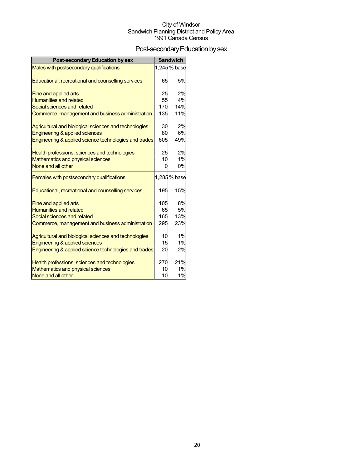## Post-secondary Education by sex

| <b>Post-secondary Education by sex</b>                |     | <b>Sandwich</b> |
|-------------------------------------------------------|-----|-----------------|
| Males with postsecondary qualifications               |     | 1,245% base     |
|                                                       |     |                 |
| Educational, recreational and counselling services    | 65  | 5%              |
| Fine and applied arts                                 | 25  | 2%              |
| <b>Humanities and related</b>                         | 55  | 4%              |
| Social sciences and related                           | 170 | 14%             |
| Commerce, management and business administration      | 135 | 11%             |
| Agricultural and biological sciences and technologies | 30  | 2%              |
| Engineering & applied sciences                        | 80  | 6%              |
| Engineering & applied science technologies and trades | 605 | 49%             |
| Health professions, sciences and technologies         | 25  | 2%              |
| Mathematics and physical sciences                     | 10  | 1%              |
| None and all other                                    | O   | 0%              |
| Females with postsecondary qualifications             |     | 1,285% base     |
| Educational, recreational and counselling services    | 195 | 15%             |
| Fine and applied arts                                 | 105 | 8%              |
| <b>Humanities and related</b>                         | 65  | 5%              |
| Social sciences and related                           | 165 | 13%             |
| Commerce, management and business administration      | 295 | 23%             |
| Agricultural and biological sciences and technologies | 10  | 1%              |
| Engineering & applied sciences                        | 15  | 1%              |
| Engineering & applied science technologies and trades | 20  | 2%              |
| Health professions, sciences and technologies         | 270 | 21%             |
| Mathematics and physical sciences                     | 10  | 1%              |
| None and all other                                    | 10  | 1%              |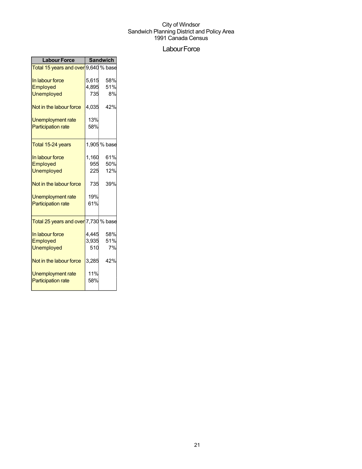## Labour Force

| <b>Labour Force</b>                  | <b>Sandwich</b> |              |  |
|--------------------------------------|-----------------|--------------|--|
| Total 15 years and over 9,640 % base |                 |              |  |
| In labour force                      | 5,615           | 58%          |  |
| Employed                             | 4,895           | 51%          |  |
| <b>Unemployed</b>                    | 735             | 8%           |  |
| Not in the labour force              | 4,035           | 42%          |  |
| Unemployment rate                    | 13%             |              |  |
| <b>Participation rate</b>            | 58%             |              |  |
| Total 15-24 years                    |                 | 1,905 % base |  |
| In labour force                      | 1,160           | 61%          |  |
| Employed                             | 955             | 50%          |  |
| <b>Unemployed</b>                    | 225             | 12%          |  |
| Not in the labour force              | 735             | 39%          |  |
| Unemployment rate                    | 19%             |              |  |
| <b>Participation rate</b>            | 61%             |              |  |
| Total 25 years and over 7,730 % base |                 |              |  |
| In labour force                      | 4,445           | 58%          |  |
| Employed                             | 3,935           | 51%          |  |
| <b>Unemployed</b>                    | 510             | 7%           |  |
| Not in the labour force              | 3,285           | 42%          |  |
| Unemployment rate                    | 11%             |              |  |
| <b>Participation rate</b>            | 58%             |              |  |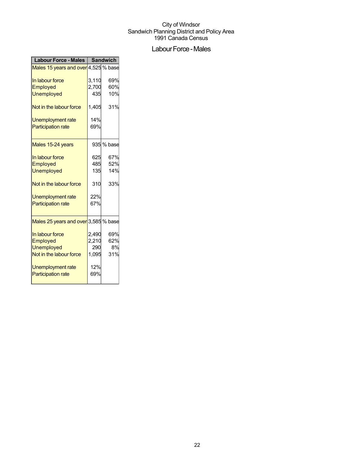## Labour Force - Males

| <b>Labour Force - Males</b>          | <b>Sandwich</b> |            |
|--------------------------------------|-----------------|------------|
| Males 15 years and over 4,525 % base |                 |            |
| In labour force                      | 3,110           | 69%        |
| <b>Employed</b>                      | 2,700           | 60%        |
| Unemployed                           | 435             | 10%        |
| Not in the labour force              | 1,405           | 31%        |
| Unemployment rate                    | 14%             |            |
| <b>Participation rate</b>            | 69%             |            |
| Males 15-24 years                    |                 | 935 % base |
| In labour force                      | 625             | 67%        |
| Employed                             | 485             | 52%        |
| <b>Unemployed</b>                    | 135             | 14%        |
| Not in the labour force              | 310             | 33%        |
| Unemployment rate                    | 22%             |            |
| <b>Participation rate</b>            | 67%             |            |
| Males 25 years and over 3,585 % base |                 |            |
| In labour force                      | 2,490           | 69%        |
| <b>Employed</b>                      | 2,210           | 62%        |
| <b>Unemployed</b>                    | 290             | 8%         |
| Not in the labour force              | 1,095           | 31%        |
| Unemployment rate                    | 12%             |            |
| <b>Participation rate</b>            | 69%             |            |
|                                      |                 |            |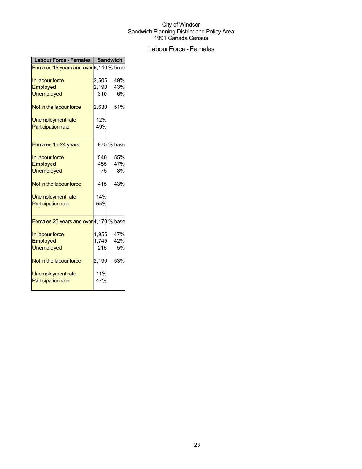## Labour Force - Females

| <b>Labour Force - Females</b>          | <b>Sandwich</b> |            |
|----------------------------------------|-----------------|------------|
| Females 15 years and over 5,140 % base |                 |            |
| In labour force                        | 2,505           | 49%        |
| Employed                               | 2,190           | 43%        |
| <b>Unemployed</b>                      | 310             | 6%         |
|                                        |                 |            |
| Not in the labour force                | 2,630           | 51%        |
| Unemployment rate                      | 12%             |            |
| <b>Participation rate</b>              | 49%             |            |
|                                        |                 |            |
| Females 15-24 years                    |                 | 975 % base |
| In labour force                        | 540             | 55%        |
| Employed                               | 455             | 47%        |
| <b>Unemployed</b>                      | 75              | 8%         |
| Not in the labour force                | 415             | 43%        |
| <b>Unemployment rate</b>               | 14%             |            |
| <b>Participation rate</b>              | 55%             |            |
|                                        |                 |            |
| Females 25 years and over 4,170 % base |                 |            |
| In labour force                        | 1,955           | 47%        |
| Employed                               | 1,745           | 42%        |
| <b>Unemployed</b>                      | 215             | 5%         |
| Not in the labour force                | 2,190           | 53%        |
| <b>Unemployment rate</b>               | 11%             |            |
| <b>Participation rate</b>              | 47%             |            |
|                                        |                 |            |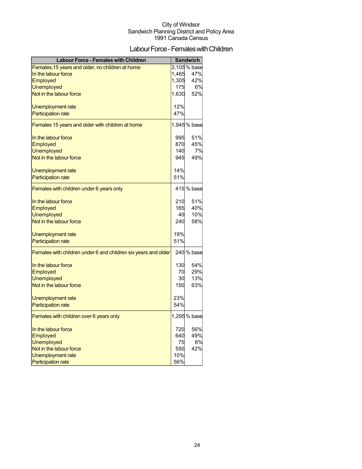## Labour Force - Females with Children

| <b>Labour Force - Females with Children</b>                    |       | <b>Sandwich</b> |
|----------------------------------------------------------------|-------|-----------------|
| Females, 15 years and older, no children at home               |       | 3,105% base     |
| In the labour force                                            | 1,465 | 47%             |
| Employed                                                       | 1,305 | 42%             |
| <b>Unemployed</b>                                              | 175   | 6%              |
| Not in the labour force                                        | 1,630 | 52%             |
| Unemployment rate                                              | 12%   |                 |
| <b>Participation rate</b>                                      | 47%   |                 |
| Females 15 years and older with children at home               |       | 1,945% base     |
| In the labour force                                            | 995   | 51%             |
| Employed                                                       | 870   | 45%             |
| <b>Unemployed</b>                                              | 140   | 7%              |
| Not in the labour force                                        | 945   | 49%             |
| Unemployment rate                                              | 14%   |                 |
| <b>Participation rate</b>                                      | 51%   |                 |
| Females with children under 6 years only                       |       | 415 % base      |
| In the labour force                                            | 210   | 51%             |
| Employed                                                       | 165   | 40%             |
| <b>Unemployed</b>                                              | 40    | 10%             |
| Not in the labour force                                        | 240   | 58%             |
| Unemployment rate                                              | 19%   |                 |
| <b>Participation rate</b>                                      | 51%   |                 |
| Females with children under 6 and children six years and older |       | 240 % base      |
| In the labour force                                            | 130   | 54%             |
| Employed                                                       | 70    | 29%             |
| <b>Unemployed</b>                                              | 30    | 13%             |
| Not in the labour force                                        | 150   | 63%             |
| Unemployment rate                                              | 23%   |                 |
| <b>Participation rate</b>                                      | 54%   |                 |
| Females with children over 6 years only                        |       | 1,295 % base    |
| In the labour force                                            | 720   | 56%             |
| Employed                                                       | 640   | 49%             |
| <b>Unemployed</b>                                              | 75    | 6%              |
| Not in the labour force                                        | 550   | 42%             |
| <b>Unemployment rate</b>                                       | 10%   |                 |
| <b>Participation rate</b>                                      | 56%   |                 |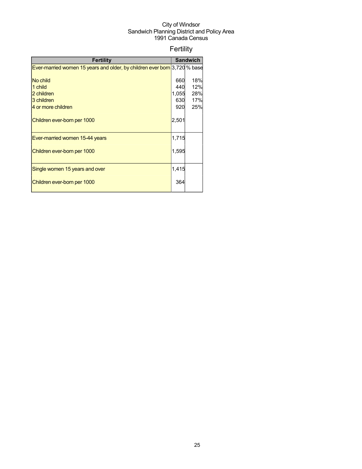## Fertility

| <b>Fertility</b>                                                          |                | <b>Sandwich</b> |
|---------------------------------------------------------------------------|----------------|-----------------|
| Ever-married women 15 years and older, by children ever born 3,720 % base |                |                 |
|                                                                           |                |                 |
| No child                                                                  | 660            | 18%             |
| 1 child                                                                   | 440            | 12%             |
| 2 children                                                                | 1,055          | 28%             |
| 3 children                                                                | 630            | 17%             |
| 4 or more children                                                        | 920            | 25%             |
| Children ever-born per 1000                                               | $2,50^{\circ}$ |                 |
| Ever-married women 15-44 years                                            | 1,715          |                 |
| Children ever-born per 1000                                               | 1,595          |                 |
| Single women 15 years and over                                            | 1,415          |                 |
| Children ever-born per 1000                                               | 364            |                 |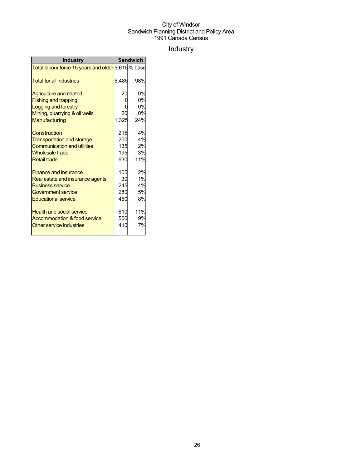## Industry

| <b>Industry</b>                                    | <b>Sandwich</b> |     |
|----------------------------------------------------|-----------------|-----|
| Total labour force 15 years and older 5,615 % base |                 |     |
| <b>Total for all industries</b>                    | 5,485           | 98% |
| <b>Agriculture and related</b>                     | 20              | 0%  |
| <b>Fishing and trapping</b>                        |                 | 0%  |
| Logging and forestry                               |                 | 0%  |
| Mining, quarrying & oil wells                      | 20              | 0%  |
| Manufacturing                                      | 1,325           | 24% |
| Construction                                       | 215             | 4%  |
| <b>Transportation and storage</b>                  | 200             | 4%  |
| <b>Communication and utilities</b>                 | 135             | 2%  |
| <b>Wholesale trade</b>                             | 195             | 3%  |
| <b>Retail trade</b>                                | 630             | 11% |
| <b>Finance and insurance</b>                       | 105             | 2%  |
| Real estate and insurance agents                   | 30              | 1%  |
| <b>Business service</b>                            | 245             | 4%  |
| Government service                                 | 280             | 5%  |
| <b>Educational service</b>                         | 450             | 8%  |
| <b>Health and social service</b>                   | 610             | 11% |
| Accommodation & food service                       | 500             | 9%  |
| Other service industries                           | 410             | 7%  |
|                                                    |                 |     |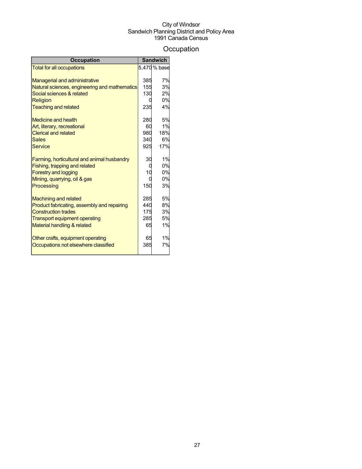## **Occupation**

| <b>Occupation</b>                             |     | <b>Sandwich</b> |
|-----------------------------------------------|-----|-----------------|
| <b>Total for all occupations</b>              |     | 5,470 % base    |
|                                               |     |                 |
| <b>Managerial and administrative</b>          | 385 | 7%              |
| Natural sciences, engineering and mathematics | 155 | 3%              |
| Social sciences & related                     | 130 | 2%              |
| Religion                                      |     | 0%              |
| <b>Teaching and related</b>                   | 235 | 4%              |
| <b>Medicine and health</b>                    | 280 | 5%              |
| Art, literary, recreational                   | 60  | 1%              |
| <b>Clerical and related</b>                   | 980 | 18%             |
| <b>Sales</b>                                  | 340 | 6%              |
| Service                                       | 925 | 17%             |
| Farming, horticultural and animal husbandry   | 30  | 1%              |
| Fishing, trapping and related                 |     | 0%              |
| <b>Forestry and logging</b>                   | 10  | 0%              |
| Mining, quarrying, oil & gas                  |     | 0%              |
| Processing                                    | 150 | 3%              |
| <b>Machining and related</b>                  | 285 | 5%              |
| Product fabricating, assembly and repairing   | 440 | 8%              |
| <b>Construction trades</b>                    | 175 | 3%              |
| <b>Transport equipment operating</b>          | 285 | 5%              |
| Material handling & related                   | 65  | 1%              |
| Other crafts, equipment operating             | 65  | 1%              |
| Occupations not elsewhere classified          | 385 | 7%              |
|                                               |     |                 |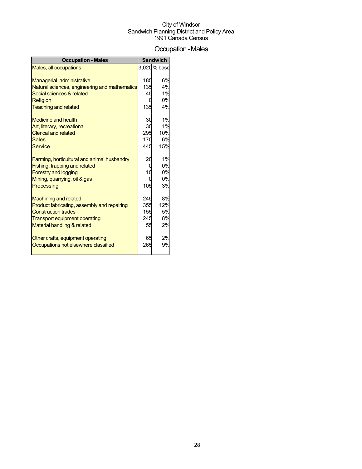## Occupation-Males

| <b>Occupation - Males</b>                     |     | <b>Sandwich</b> |
|-----------------------------------------------|-----|-----------------|
| Males, all occupations                        |     | 3,020 % base    |
|                                               |     |                 |
| Managerial, administrative                    | 185 | 6%              |
| Natural sciences, engineering and mathematics | 135 | 4%              |
| Social sciences & related                     | 45  | 1%              |
| Religion                                      |     | 0%              |
| <b>Teaching and related</b>                   | 135 | 4%              |
| <b>Medicine and health</b>                    | 30  | 1%              |
| Art, literary, recreational                   | 30  | 1%              |
| <b>Clerical and related</b>                   | 295 | 10%             |
| <b>Sales</b>                                  | 170 | 6%              |
| <b>Service</b>                                | 445 | 15%             |
| Farming, horticultural and animal husbandry   | 20  | 1%              |
| Fishing, trapping and related                 | C   | 0%              |
| <b>Forestry and logging</b>                   | 10  | 0%              |
| Mining, quarrying, oil & gas                  |     | 0%              |
| Processing                                    | 105 | 3%              |
| <b>Machining and related</b>                  | 245 | 8%              |
| Product fabricating, assembly and repairing   | 355 | 12%             |
| <b>Construction trades</b>                    | 155 | 5%              |
| <b>Transport equipment operating</b>          | 245 | 8%              |
| Material handling & related                   | 55  | 2%              |
| Other crafts, equipment operating             | 65  | 2%              |
| Occupations not elsewhere classified          | 265 | 9%              |
|                                               |     |                 |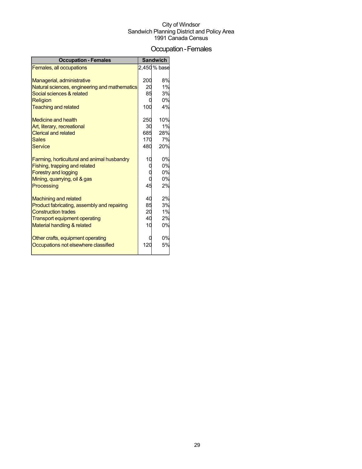### Occupation-Females

| <b>Occupation - Females</b>                   |     | <b>Sandwich</b> |
|-----------------------------------------------|-----|-----------------|
| Females, all occupations                      |     | 2,450 % base    |
|                                               |     |                 |
| Managerial, administrative                    | 200 | 8%              |
| Natural sciences, engineering and mathematics | 20  | 1%              |
| Social sciences & related                     | 85  | 3%              |
| <b>Religion</b>                               |     | 0%              |
| <b>Teaching and related</b>                   | 100 | 4%              |
| Medicine and health                           | 250 | 10%             |
| Art, literary, recreational                   | 30  | 1%              |
| <b>Clerical and related</b>                   | 685 | 28%             |
| <b>Sales</b>                                  | 170 | 7%              |
| Service                                       | 480 | 20%             |
| Farming, horticultural and animal husbandry   | 10  | 0%              |
| Fishing, trapping and related                 |     | 0%              |
| <b>Forestry and logging</b>                   |     | 0%              |
| Mining, quarrying, oil & gas                  |     | 0%              |
| Processing                                    | 45  | 2%              |
| <b>Machining and related</b>                  | 40  | 2%              |
| Product fabricating, assembly and repairing   | 85  | 3%              |
| <b>Construction trades</b>                    | 20  | 1%              |
| <b>Transport equipment operating</b>          | 40  | 2%              |
| Material handling & related                   | 10  | 0%              |
| Other crafts, equipment operating             |     | 0%              |
| Occupations not elsewhere classified          | 120 | 5%              |
|                                               |     |                 |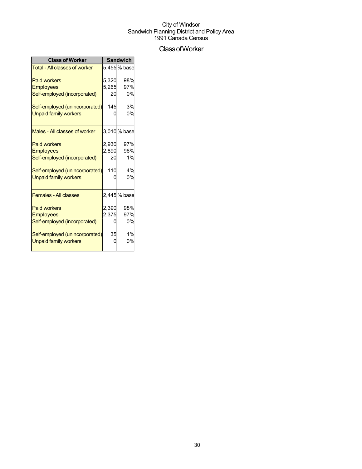## ClassofWorker

| <b>Class of Worker</b>               | <b>Sandwich</b> |              |  |
|--------------------------------------|-----------------|--------------|--|
| <b>Total - All classes of worker</b> |                 | 5,455 % base |  |
| <b>Paid workers</b>                  | 5,320           | 98%          |  |
| <b>Employees</b>                     | 5,265           | 97%          |  |
| Self-employed (incorporated)         | 20              | 0%           |  |
| Self-employed (unincorporated)       | 145             | 3%           |  |
| <b>Unpaid family workers</b>         |                 | 0%           |  |
| Males - All classes of worker        |                 | 3,010 % base |  |
| <b>Paid workers</b>                  | 2,930           | 97%          |  |
| <b>Employees</b>                     | 2,890           | 96%          |  |
| Self-employed (incorporated)         | 20              | 1%           |  |
| Self-employed (unincorporated)       | 110             | 4%           |  |
| <b>Unpaid family workers</b>         |                 | 0%           |  |
| <b>Females - All classes</b>         |                 | 2,445 % base |  |
| <b>Paid workers</b>                  | 2,390           | 98%          |  |
| <b>Employees</b>                     | 2,375           | 97%          |  |
| Self-employed (incorporated)         |                 | 0%           |  |
| Self-employed (unincorporated)       | 35              | 1%           |  |
| <b>Unpaid family workers</b>         |                 | 0%           |  |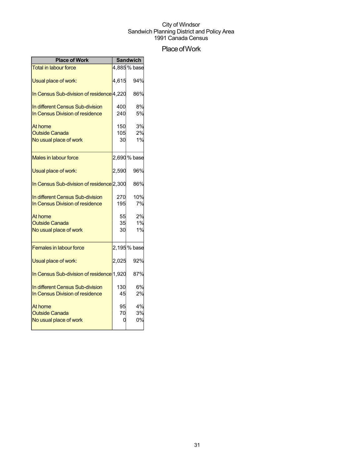## Place of Work

| <b>Place of Work</b>                                                |                  | <b>Sandwich</b> |
|---------------------------------------------------------------------|------------------|-----------------|
| <b>Total in labour force</b>                                        |                  | 4,885% base     |
| Usual place of work:                                                | 4,615            | 94%             |
| In Census Sub-division of residence 4,220                           |                  | 86%             |
| In different Census Sub-division<br>In Census Division of residence | 400<br>240       | 8%<br>5%        |
| At home<br><b>Outside Canada</b><br>No usual place of work          | 150<br>105<br>30 | 3%<br>2%<br>1%  |
| Males in labour force                                               |                  | 2,690 % base    |
| Usual place of work:                                                | 2,590            | 96%             |
| In Census Sub-division of residence 2,300                           |                  | 86%             |
| In different Census Sub-division<br>In Census Division of residence | 270<br>195       | 10%<br>7%       |
| At home<br><b>Outside Canada</b><br>No usual place of work          | 55<br>35<br>30   | 2%<br>1%<br>1%  |
| <b>Females in labour force</b>                                      |                  | 2,195% base     |
| Usual place of work:                                                | 2,025            | 92%             |
| In Census Sub-division of residence 1,920                           |                  | 87%             |
| In different Census Sub-division<br>In Census Division of residence | 130<br>45        | 6%<br>2%        |
| At home<br><b>Outside Canada</b><br>No usual place of work          | 95<br>70         | 4%<br>3%<br>0%  |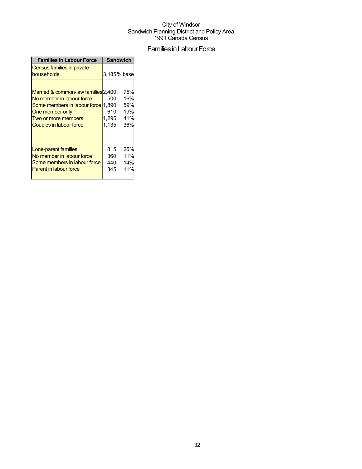## Families in Labour Force

| <b>Families in Labour Force</b>                                                                                                                                                    | <b>Sandwich</b>              |                                        |  |
|------------------------------------------------------------------------------------------------------------------------------------------------------------------------------------|------------------------------|----------------------------------------|--|
| Census families in private<br>households                                                                                                                                           |                              | 3,185% base                            |  |
| Married & common-law families 2,400<br>No member in labour force<br>Some members in labour force 1.890<br>One member only<br>Two or more members<br><b>Couples in labour force</b> | 500<br>610<br>1,295<br>1,135 | 75%<br>16%<br>59%<br>19%<br>41%<br>36% |  |
| Lone-parent families<br>No member in labour force<br>Some members in labour force<br><b>Parent in labour force</b>                                                                 | 815<br>360<br>440<br>345     | 26%<br>11%<br>14%<br>11%               |  |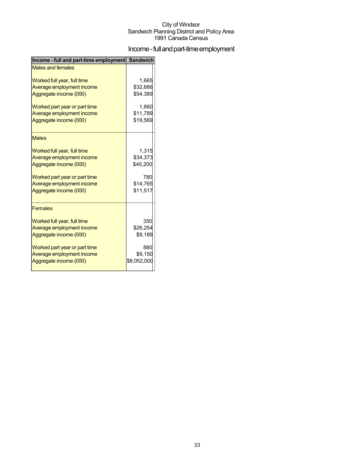## Income - full and part-time employment

| Income - full and part-time employment Sandwich |             |
|-------------------------------------------------|-------------|
| <b>Males and females</b>                        |             |
| Worked full year, full time                     | 1,665       |
| Average employment income                       | \$32,666    |
| Aggregate income (000)                          | \$54,389    |
| Worked part year or part time                   | 1,660       |
| Average employment income                       | \$11,789    |
| Aggregate income (000)                          | \$19,569    |
| <b>Males</b>                                    |             |
| Worked full year, full time                     | 1,315       |
| Average employment income                       | \$34,373    |
| Aggregate income (000)                          | \$45,200    |
| Worked part year or part time                   | 780         |
| Average employment income                       | \$14,765    |
| Aggregate income (000)                          | \$11,517    |
| <b>Females</b>                                  |             |
| Worked full year, full time                     | 350         |
| Average employment income                       | \$26,254    |
| Aggregate income (000)                          | \$9,189     |
| Worked part year or part time                   | 880         |
| Average employment income                       | \$9,150     |
| Aggregate income (000)                          | \$8,052,000 |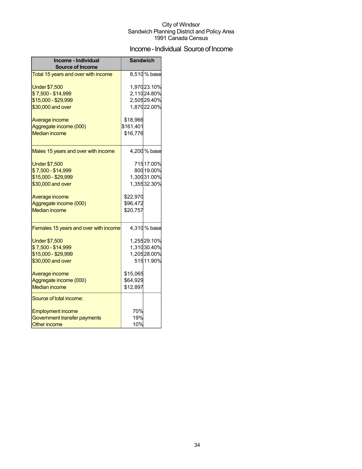## Income - Individual Source of Income

| Income - Individual<br><b>Source of Income</b> | <b>Sandwich</b> |                            |
|------------------------------------------------|-----------------|----------------------------|
| Total 15 years and over with income            |                 | 8,510% base                |
| <b>Under \$7,500</b><br>\$7,500 - \$14,999     |                 | 1,97023.10%<br>2,11024.80% |
| \$15,000 - \$29,999                            |                 | 2,50529.40%                |
| \$30,000 and over                              |                 | 1,87022.00%                |
| Average income                                 | \$18,966        |                            |
| Aggregate income (000)                         | \$161,401       |                            |
| <b>Median income</b>                           | \$16,776        |                            |
| Males 15 years and over with income            |                 | 4,200 % base               |
| <b>Under \$7,500</b>                           |                 | 71517.00%                  |
| \$7,500 - \$14,999                             |                 | 800 19.00%                 |
| \$15,000 - \$29,999                            |                 | 1,30031.00%                |
| \$30,000 and over                              |                 | 1,35532.30%                |
| Average income                                 | \$22,970        |                            |
| Aggregate income (000)                         | \$96,472        |                            |
| <b>Median income</b>                           | \$20,757        |                            |
| Females 15 years and over with income          |                 | 4,310% base                |
| <b>Under \$7,500</b>                           |                 | 1,25529.10%                |
| \$7,500 - \$14,999                             |                 | 1,31030.40%                |
| \$15,000 - \$29,999                            |                 | 1,20528.00%                |
| \$30,000 and over                              |                 | 51511.90%                  |
| Average income                                 | \$15,065        |                            |
| Aggregate income (000)                         | \$64,929        |                            |
| <b>Median income</b>                           | \$12,897        |                            |
| Source of total income:                        |                 |                            |
| <b>Employment income</b>                       | 70%             |                            |
| Government transfer payments                   | 19%             |                            |
| <b>Other income</b>                            | 10%             |                            |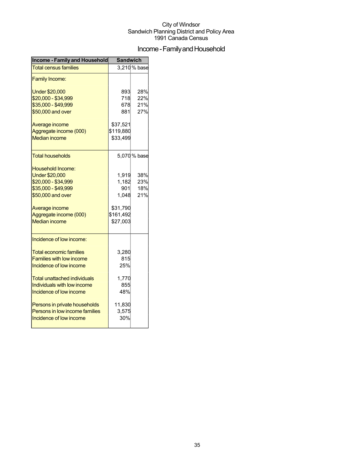## Income - Family and Household

| <b>Income - Family and Household</b> | <b>Sandwich</b> |              |  |
|--------------------------------------|-----------------|--------------|--|
| <b>Total census families</b>         |                 | 3,210% base  |  |
| <b>Family Income:</b>                |                 |              |  |
| <b>Under \$20,000</b>                | 893             | 28%          |  |
| \$20,000 - \$34,999                  | 718             | 22%          |  |
| \$35,000 - \$49,999                  | 678             | 21%          |  |
| \$50,000 and over                    | 881             | 27%          |  |
| Average income                       | \$37,521        |              |  |
| Aggregate income (000)               | \$119,880       |              |  |
| <b>Median income</b>                 | \$33,499        |              |  |
| Total households                     |                 | 5,070 % base |  |
| <b>Household Income:</b>             |                 |              |  |
| <b>Under \$20,000</b>                | 1,919           | 38%          |  |
| \$20,000 - \$34,999                  | 1,182           | 23%          |  |
| \$35,000 - \$49,999                  | 901             | 18%          |  |
| \$50,000 and over                    | 1,048           | 21%          |  |
| Average income                       | \$31,790        |              |  |
| Aggregate income (000)               | \$161,492       |              |  |
| <b>Median income</b>                 | \$27,003        |              |  |
| Incidence of low income:             |                 |              |  |
| <b>Total economic families</b>       | 3,280           |              |  |
| <b>Families with low income</b>      | 815             |              |  |
| Incidence of low income              | 25%             |              |  |
| <b>Total unattached individuals</b>  | 1,770           |              |  |
| Individuals with low income          | 855             |              |  |
| Incidence of low income              | 48%             |              |  |
| Persons in private households        | 11,830          |              |  |
| Persons in low income families       | 3,575           |              |  |
| Incidence of low income              | 30%             |              |  |